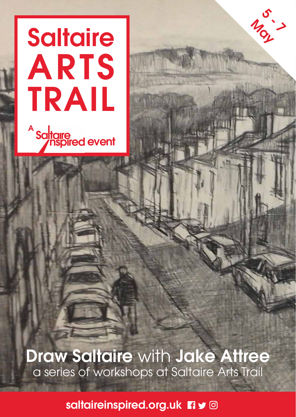## **Saltaire** ARTS TRAIL sa<mark>ltaire</mark><br>Soltaire devent A

**Draw Saltaire with Jake Attree** a series of workshops at Saltaire Arts Trail

ى<br>مەنبى May

saltaireinspired.org.uk **n**y @